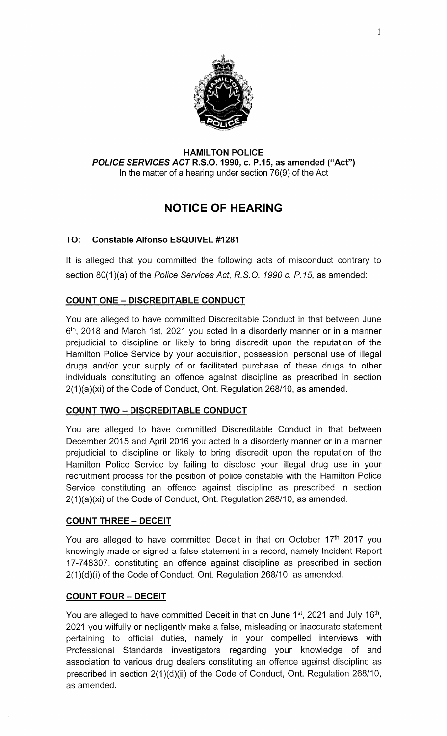

#### **HAMIL TON POLICE**  *POLICE SERVICES* **ACTR.S.O.1990, c. P.15, as amended ("Act")**  In the matter of a hearing under section 76(9) of the Act

# **NOTICE OF HEARING**

## **TO: Constable Alfonso ESQUIVEL #1281**

It is alleged that you committed the following acts of misconduct contrary to section 80(1)(a) of the *Police Services Act, R.S.O. 1990 c. P.15,* as amended:

## **COUNT ONE- DISCREDITABLE CONDUCT**

You are alleged to have committed Discreditable Conduct in that between June  $6<sup>th</sup>$ , 2018 and March 1st, 2021 you acted in a disorderly manner or in a manner prejudicial to discipline or likely to bring discredit upon the reputation of the Hamilton Police Service by your acquisition, possession, personal use of illegal drugs and/or your supply of or facilitated purchase of these drugs to other individuals constituting an offence against discipline as prescribed in section 2(1 )(a)(xi) of the Code of Conduct, Ont. Regulation 268/10, as amended.

## **COUNT TWO- DISCREDITABLE CONDUCT**

You are alleged to have committed Discreditable Conduct in that between December 2015 and April 2016 you acted in a disorderly manner or in a manner prejudicial to discipline or likely to bring discredit upon the reputation of the Hamilton Police Service by failing to disclose your illegal drug use in your recruitment process for the position of police constable with the Hamilton Police Service constituting an offence against discipline as prescribed in section 2(1 )(a)(xi) of the Code of Conduct, Ont. Regulation 268/10, as amended.

## **COUNT THREE- DECEIT**

You are alleged to have committed Deceit in that on October 17<sup>th</sup> 2017 you knowingly made or signed a false statement in a record, namely Incident Report 17-7 48307, constituting an offence against discipline as prescribed in section 2(1 )(d)(i) of the Code of Conduct, Ont. Regulation 268/10, as amended.

## **COUNT FOUR - DECEIT**

You are alleged to have committed Deceit in that on June 1<sup>st</sup>, 2021 and July 16<sup>th</sup>, 2021 you wilfully or negligently make a false, misleading or inaccurate statement pertaining to official duties, namely in your compelled interviews with Professional Standards investigators regarding your knowledge of and association to various drug dealers constituting an offence against discipline as prescribed in section 2(1 )(d)(ii) of the Code of Conduct, Ont. Regulation 268/10, as amended.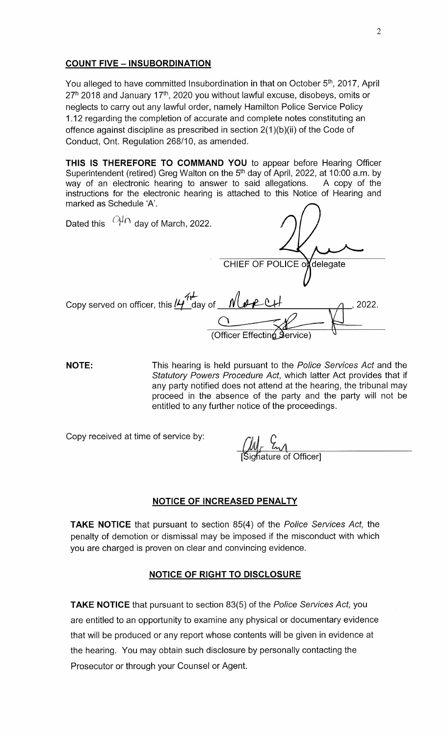#### **COUNT FIVE - INSUBORDINATION**

You alleged to have committed Insubordination in that on October 5<sup>th</sup>, 2017, April  $27<sup>h</sup>$  2018 and January 17<sup>th</sup>, 2020 you without lawful excuse, disobeys, omits or neglects to carry out any lawful order, namely Hamilton Police Service Policy 1.12 regarding the completion of accurate and complete notes constituting an offence against discipline as prescribed in section 2(1 )(b)(ii) of the Code of Conduct, Ont. Regulation 268/10, as amended.

**THIS IS THEREFORE TO COMMAND YOU** to appear before Hearing Officer Superintendent (retired) Greg Walton on the  $5<sup>th</sup>$  day of April, 2022, at 10:00 a.m. by way of an electronic hearing to answer to said allegations. A copy of the instructions for the electronic hearing is attached to this Notice of Hearing and marked as Schedule 'A'.

| Dated this $O/H \overline{H}$ day of March, 2022.           |                             |
|-------------------------------------------------------------|-----------------------------|
|                                                             | CHIEF OF POLICE of delegate |
| Copy served on officer, this $H^+$ day of $M^+$ $M^+$ $M^-$ | 2022.                       |
|                                                             | (Officer Effecting Service) |

**NOTE:** This hearing is held pursuant to the *Police Services Act* and the *Statutory Powers Procedure Act,* which latter Act provides that if any party notified does not attend at the hearing, the tribunal may proceed in the absence of the party and the party will not be entitled to any further notice of the proceedings.

Copy received at time of service by:

 $\frac{\mathcal{U}}{\mathcal{M}}$   $\frac{\mathcal{C}}{\mathcal{M}}$  of Officer]

#### **NOTICE OF INCREASED PENALTY**

**TAKE NOTICE** that pursuant to section 85(4) of the *Police Services Act,* the penalty of demotion or dismissal may be imposed if the misconduct with which you are charged is proven on clear and convincing evidence.

## **NOTICE OF RIGHT TO DISCLOSURE**

**TAKE NOTICE** that pursuant to section 83(5) of the *Police Services Act,* you are entitled to an opportunity to examine any physical or documentary evidence that will be produced or any report whose contents will be given in evidence at the hearing. You may obtain such disclosure by personally contacting the Prosecutor or through your Counsel or Agent.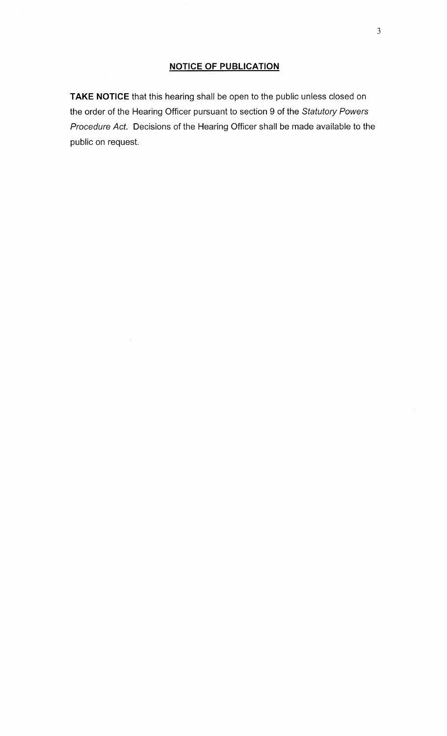## **NOTICE OF PUBLICATION**

**TAKE NOTICE** that this hearing shall be open to the public unless closed on the order of the Hearing Officer pursuant to section 9 of the *Statutory Powers Procedure Act.* Decisions of the Hearing Officer shall be made available to the public on request.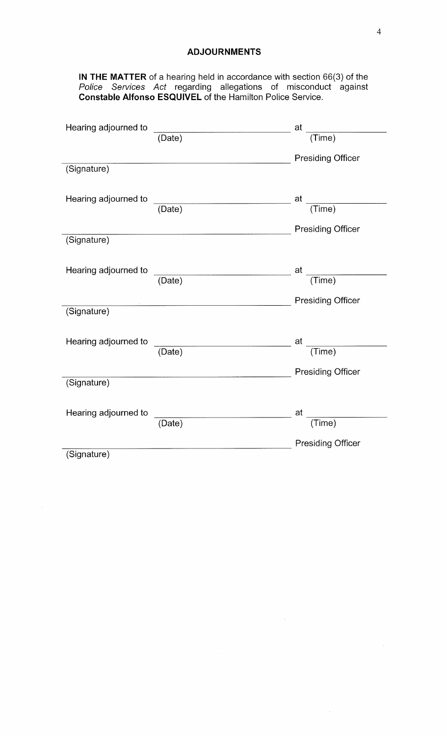#### **ADJOURNMENTS**

**IN THE MATTER** of a hearing held in accordance with section 66(3) of the *Police Services Act* regarding allegations of misconduct against **Constable Alfonso ESQUIVEL** of the Hamilton Police Service.

| Hearing adjourned to |                     | at                       |
|----------------------|---------------------|--------------------------|
|                      | (Date)              | (Time)                   |
|                      |                     |                          |
|                      |                     | <b>Presiding Officer</b> |
| (Signature)          |                     |                          |
|                      |                     |                          |
| Hearing adjourned to |                     |                          |
|                      | (Date)              | at $\frac{1}{(Time)}$    |
|                      |                     |                          |
|                      |                     | <b>Presiding Officer</b> |
| (Signature)          |                     |                          |
|                      |                     |                          |
| Hearing adjourned to |                     |                          |
|                      | (Date)              | at $\frac{1}{(Time)}$    |
|                      |                     |                          |
|                      |                     | <b>Presiding Officer</b> |
| (Signature)          |                     |                          |
|                      |                     |                          |
| Hearing adjourned to |                     | at                       |
|                      | (Date)              | $\frac{1}{(Time)}$       |
|                      |                     |                          |
|                      |                     | <b>Presiding Officer</b> |
| (Signature)          |                     |                          |
|                      |                     |                          |
|                      |                     |                          |
| Hearing adjourned to | $\overline{(Date)}$ | $\frac{1}{(Time)}$<br>at |
|                      |                     |                          |
|                      |                     | <b>Presiding Officer</b> |
| (Signature)          |                     |                          |
|                      |                     |                          |

 $\hat{\mathcal{A}}$ 

 $\hat{\mathcal{L}}$